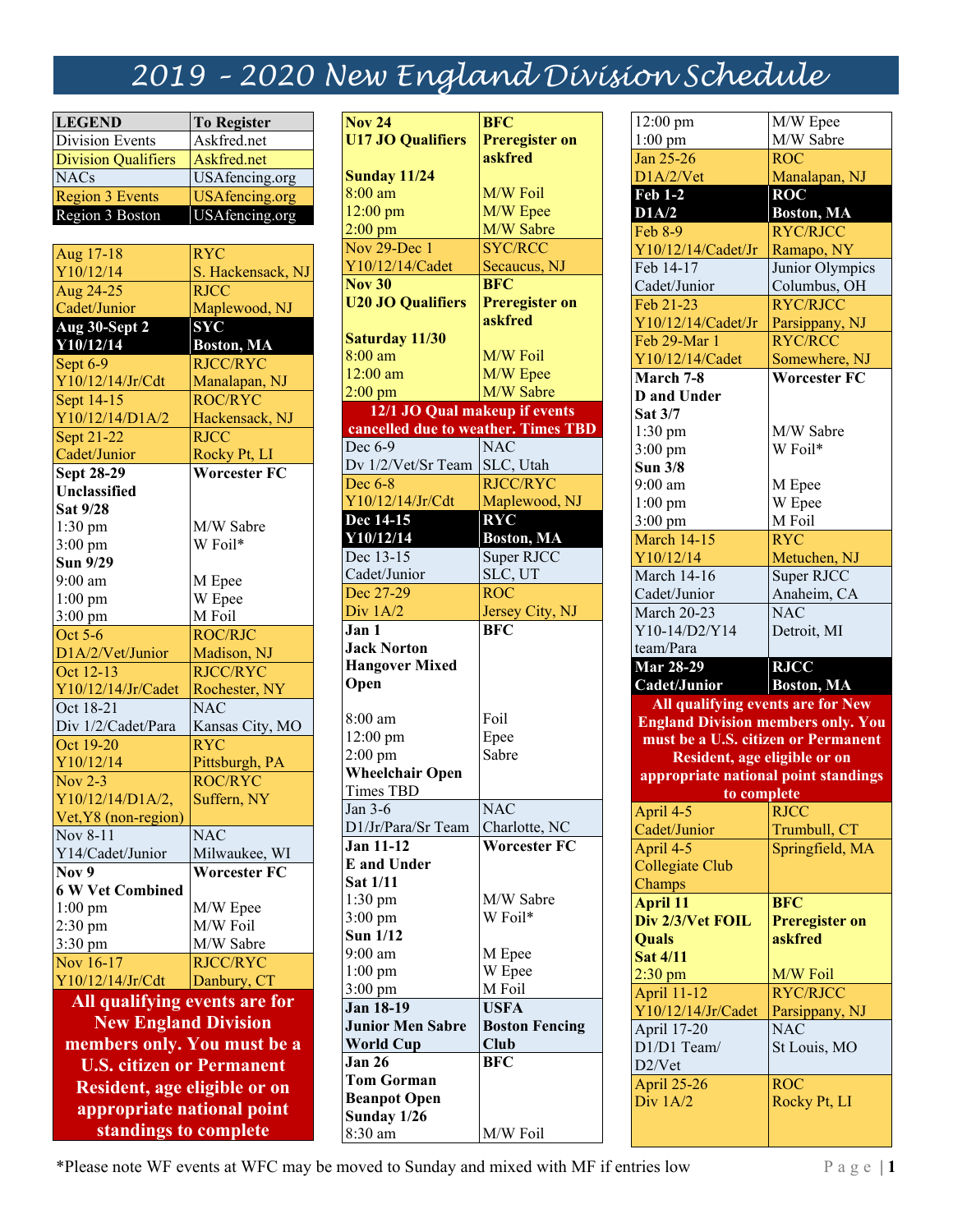## *2019 – 2020 New England Division Schedule*

| <b>LEGEND</b>                    | <b>To Register</b>               |  |  |  |
|----------------------------------|----------------------------------|--|--|--|
| Division Events                  | Askfred.net                      |  |  |  |
| <b>Division Qualifiers</b>       | Askfred.net                      |  |  |  |
| <b>NACs</b>                      | USAfencing.org                   |  |  |  |
| <b>Region 3 Events</b>           | <b>USAfencing.org</b>            |  |  |  |
| Region 3 Boston                  | USAfencing.org                   |  |  |  |
|                                  |                                  |  |  |  |
| Aug 17-18                        | <b>RYC</b>                       |  |  |  |
| Y10/12/14                        | S. Hackensack, NJ                |  |  |  |
| Aug 24-25                        | <b>RJCC</b>                      |  |  |  |
| Cadet/Junior                     | Maplewood, NJ                    |  |  |  |
| Aug 30-Sept 2                    | <b>SYC</b>                       |  |  |  |
| Y10/12/14                        | <b>Boston, MA</b>                |  |  |  |
| Sept 6-9                         | <b>RJCC/RYC</b>                  |  |  |  |
| Y10/12/14/Jr/Cdt                 | Manalapan, NJ                    |  |  |  |
| Sept 14-15                       | <b>ROC/RYC</b>                   |  |  |  |
| Y10/12/14/D1A/2                  | Hackensack, NJ                   |  |  |  |
| Sept 21-22                       | <b>RJCC</b>                      |  |  |  |
| Cadet/Junior                     | Rocky Pt, LI                     |  |  |  |
| <b>Sept 28-29</b>                | <b>Worcester FC</b>              |  |  |  |
| <b>Unclassified</b>              |                                  |  |  |  |
| Sat 9/28                         |                                  |  |  |  |
| 1:30 pm                          | M/W Sabre                        |  |  |  |
| 3:00 pm                          | W Foil*                          |  |  |  |
| Sun 9/29                         |                                  |  |  |  |
| 9:00 am                          | M Epee                           |  |  |  |
| $1:00$ pm                        | W Epee                           |  |  |  |
| $3:00$ pm                        | M Foil                           |  |  |  |
| Oct 5-6                          | <b>ROC/RJC</b>                   |  |  |  |
| D1A/2/Vet/Junior                 | Madison, NJ                      |  |  |  |
| Oct 12-13                        | <b>RJCC/RYC</b>                  |  |  |  |
| Y10/12/14/Jr/Cadet               | Rochester, NY                    |  |  |  |
| Oct 18-21                        | <b>NAC</b>                       |  |  |  |
| Div 1/2/Cadet/Para               | Kansas City, MO<br><b>RYC</b>    |  |  |  |
| Oct 19-20                        |                                  |  |  |  |
| Y10/12/14                        | Pittsburgh, PA<br><b>ROC/RYC</b> |  |  |  |
| Nov $2-3$<br>Y10/12/14/D1A/2,    | Suffern, NY                      |  |  |  |
| Vet, Y8 (non-region)             |                                  |  |  |  |
| Nov 8-11                         | <b>NAC</b>                       |  |  |  |
| Y14/Cadet/Junior                 | Milwaukee, WI                    |  |  |  |
| Nov 9                            | <b>Worcester FC</b>              |  |  |  |
| <b>6 W Vet Combined</b>          |                                  |  |  |  |
| $1:00$ pm                        | M/W Epee                         |  |  |  |
| 2:30 pm                          | M/W Foil                         |  |  |  |
| 3:30 pm                          | M/W Sabre                        |  |  |  |
| Nov 16-17                        | <b>RJCC/RYC</b>                  |  |  |  |
| Y10/12/14/Jr/Cdt                 | Danbury, CT                      |  |  |  |
|                                  |                                  |  |  |  |
| All qualifying events are for    |                                  |  |  |  |
| <b>New England Division</b>      |                                  |  |  |  |
| members only. You must be a      |                                  |  |  |  |
| <b>U.S. citizen or Permanent</b> |                                  |  |  |  |
| Resident, age eligible or on     |                                  |  |  |  |

**appropriate national point standings to complete**

| <b>Nov 24</b>                       | <b>BFC</b>                  |
|-------------------------------------|-----------------------------|
| <b>U17 JO Qualifiers</b>            | Preregister on              |
|                                     | askfred                     |
| <b>Sunday 11/24</b>                 |                             |
| $8:00$ am                           | M/W Foil                    |
|                                     |                             |
| $12:00$ pm                          | M/W Epee                    |
| $2:00$ pm<br>Nov $29$ -Dec 1        | M/W Sabre<br><b>SYC/RCC</b> |
| Y10/12/14/Cadet                     |                             |
| $\overline{\text{Nov }30}$          | Secaucus, NJ<br><b>BFC</b>  |
|                                     |                             |
| <b>U20 JO Qualifiers</b>            | Preregister on<br>askfred   |
|                                     |                             |
| <b>Saturday 11/30</b><br>8:00 am    | M/W Foil                    |
|                                     |                             |
| $12:00$ am                          | M/W Epee                    |
| $2:00$ pm                           | M/W Sabre                   |
| 12/1 JO Qual makeup if events       |                             |
| cancelled due to weather. Times TBD |                             |
| Dec 6-9                             | <b>NAC</b>                  |
| Dv 1/2/Vet/Sr Team                  | SLC, Utah                   |
| Dec 6-8                             | <b>RJCC/RYC</b>             |
| Y10/12/14/Jr/Cdt                    | Maplewood, NJ               |
| Dec 14-15                           | <b>RYC</b>                  |
| Y10/12/14                           | <b>Boston</b> , MA          |
| Dec $13-15$                         | Super RJCC                  |
| Cadet/Junior                        | SLC, UT                     |
| Dec 27-29                           | ROC                         |
| Div 1A/2                            | Jersey City, NJ             |
| Jan 1                               | <b>BFC</b>                  |
| <b>Jack Norton</b>                  |                             |
| <b>Hangover Mixed</b>               |                             |
| Open                                |                             |
|                                     |                             |
| $8:00$ am                           | Foil                        |
| 12:00 pm                            | Epee                        |
| $2:00 \text{ pm}$                   | Sabre                       |
| <b>Wheelchair Open</b>              |                             |
| <b>Times TBD</b>                    |                             |
| Jan 3-6                             | <b>NAC</b>                  |
| D1/Jr/Para/Sr Team                  | Charlotte, NC               |
| <b>Jan 11-12</b>                    | <b>Worcester FC</b>         |
| <b>E</b> and Under                  |                             |
| <b>Sat 1/11</b>                     |                             |
| $1:30$ pm                           | M/W Sabre                   |
| $3:00$ pm                           | W Foil*                     |
| <b>Sun 1/12</b>                     |                             |
| $9:00$ am                           | M Epee                      |
| $1:00$ pm                           | W Epee                      |
| $3:00$ pm                           | M Foil                      |
| <b>Jan 18-19</b>                    | <b>USFA</b>                 |
| <b>Junior Men Sabre</b>             | <b>Boston Fencing</b>       |
| <b>World Cup</b>                    | Club                        |
| Jan 26                              | <b>BFC</b>                  |
| <b>Tom Gorman</b>                   |                             |
| <b>Beanpot Open</b>                 |                             |
|                                     |                             |
| Sunday 1/26                         |                             |

| 12:00 pm                                  | M/W Epee                         |
|-------------------------------------------|----------------------------------|
| $1:00$ pm                                 | M/W Sabre                        |
| Jan 25-26                                 | <b>ROC</b>                       |
| D1A/2/Vet                                 | Manalapan, NJ                    |
| <b>Feb 1-2</b>                            | <b>ROC</b>                       |
| D1A/2                                     | <b>Boston, MA</b>                |
| <b>Feb 8-9</b>                            | <b>RYC/RJCC</b>                  |
| Y10/12/14/Cadet/Jr                        | Ramapo, NY                       |
| Feb 14-17                                 | Junior Olympics                  |
| Cadet/Junior                              | Columbus, OH                     |
| Feb 21-23                                 | <b>RYC/RJCC</b>                  |
| Y10/12/14/Cadet/Jr                        | Parsippany, NJ                   |
| Feb 29-Mar 1                              | <b>RYC/RCC</b>                   |
| Y10/12/14/Cadet                           | Somewhere, NJ                    |
|                                           | <b>Worcester FC</b>              |
| March 7-8                                 |                                  |
| <b>D</b> and Under                        |                                  |
| Sat 3/7                                   |                                  |
| $1:30$ pm                                 | M/W Sabre                        |
| 3:00 pm                                   | W Foil*                          |
| <b>Sun 3/8</b>                            |                                  |
| $9:00$ am                                 | M Epee                           |
| $1:00$ pm                                 | W Epee                           |
| $3:00$ pm                                 | M Foil                           |
| <b>March 14-15</b>                        | <b>RYC</b>                       |
| Y10/12/14                                 | Metuchen, NJ                     |
| <b>March 14-16</b>                        | Super RJCC                       |
| Cadet/Junior                              | Anaheim, CA                      |
| March 20-23                               | NAC                              |
|                                           |                                  |
| Y10-14/D2/Y14                             | Detroit, MI                      |
| team/Para                                 |                                  |
| <b>Mar 28-29</b>                          | <b>RJCC</b>                      |
| Cadet/Junior                              | <b>Boston</b> , MA               |
| All qualifying events are for New         |                                  |
| <b>England Division members only. You</b> |                                  |
| must be a U.S. citizen or Permanent       |                                  |
| Resident, age eligible or on              |                                  |
| appropriate national point standings      |                                  |
| to complete                               |                                  |
| April 4-5                                 | <b>RJCC</b>                      |
| Cadet/Junior                              | Trumbull, CT                     |
| April 4-5                                 | Springfield, MA                  |
| <b>Collegiate Club</b>                    |                                  |
| Champs                                    |                                  |
|                                           | <b>BFC</b>                       |
| <b>April 11</b>                           |                                  |
| Div 2/3/Vet FOIL<br><b>Ouals</b>          | <b>Preregister on</b><br>askfred |
|                                           |                                  |
| <b>Sat 4/11</b>                           |                                  |
| $2:30$ pm                                 | M/W Foil                         |
| <b>April 11-12</b>                        | <b>RYC/RJCC</b>                  |
| Y10/12/14/Jr/Cadet                        | Parsippany, NJ                   |
| <b>April 17-20</b>                        | <b>NAC</b>                       |
| D1/D1 Team/                               | St Louis, MO                     |
| D <sub>2</sub> /Vet                       |                                  |
| <b>April 25-26</b>                        | <b>ROC</b>                       |
| Div $1A/2$                                | Rocky Pt, LI                     |

\*Please note WF events at WFC may be moved to Sunday and mixed with MF if entries low Page | **1**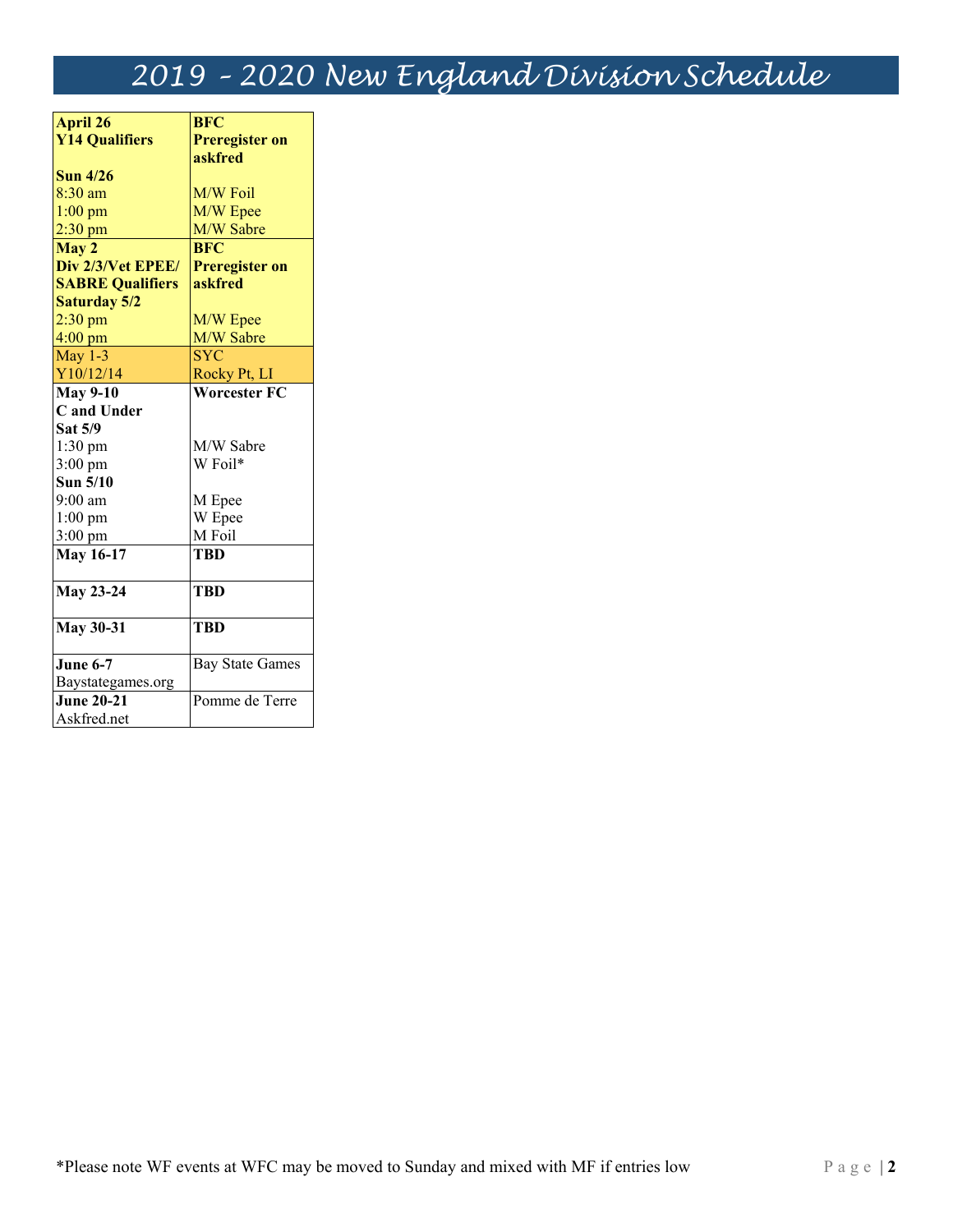# *2019 – 2020 New England Division Schedule*

| <b>April 26</b>         | <b>BFC</b>             |  |
|-------------------------|------------------------|--|
| <b>Y14 Qualifiers</b>   | <b>Preregister on</b>  |  |
|                         | askfred                |  |
| <b>Sun 4/26</b>         |                        |  |
| $8:30$ am               | M/W Foil               |  |
| $1:00$ pm               | M/W Epee               |  |
| $2:30$ pm               | M/W Sabre              |  |
| May 2                   | <b>BFC</b>             |  |
| Div 2/3/Vet EPEE/       | <b>Preregister on</b>  |  |
| <b>SABRE Qualifiers</b> | askfred                |  |
| <b>Saturday 5/2</b>     |                        |  |
| $2:30$ pm               | M/W Epee               |  |
| $4:00$ pm               | M/W Sabre              |  |
| May $1-3$               | <b>SYC</b>             |  |
| Y10/12/14               | Rocky Pt, LI           |  |
| May $9-10$              | <b>Worcester FC</b>    |  |
| C and Under             |                        |  |
| Sat 5/9                 |                        |  |
| $1:30$ pm               | M/W Sabre              |  |
| $3:00 \text{ pm}$       | W Foil*                |  |
| Sun 5/10                |                        |  |
| $9:00$ am               | M Epee                 |  |
| $1:00$ pm               | W Epee                 |  |
| $3:00$ pm               | M Foil                 |  |
| <b>May 16-17</b>        | TBD                    |  |
|                         |                        |  |
| <b>May 23-24</b>        | <b>TBD</b>             |  |
|                         |                        |  |
| <b>May 30-31</b>        | TBD                    |  |
|                         |                        |  |
| <b>June 6-7</b>         | <b>Bay State Games</b> |  |
| Baystategames.org       |                        |  |
| <b>June 20-21</b>       | Pomme de Terre         |  |
| Askfred.net             |                        |  |